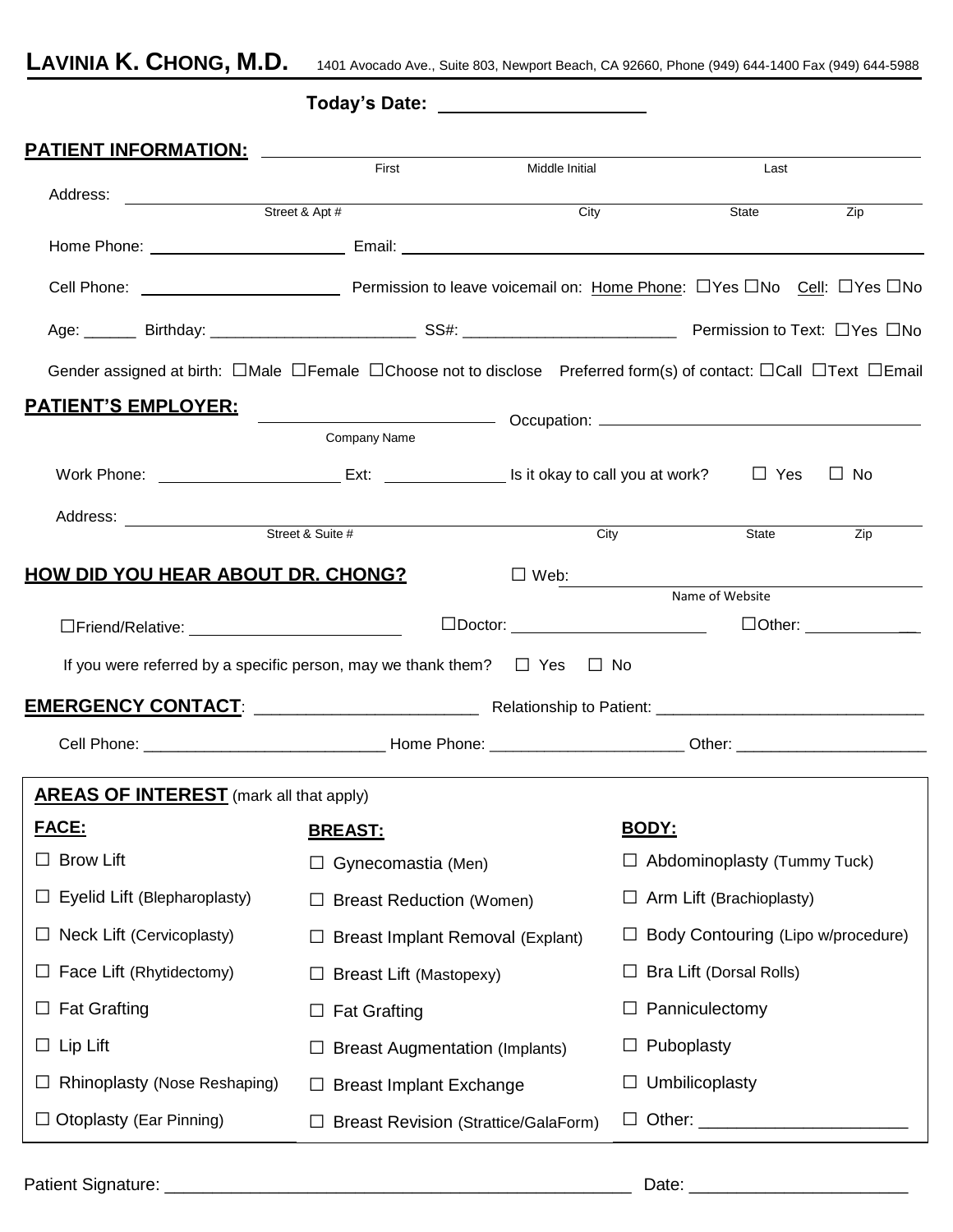# LAVINIA K. CHONG, M.D. 1401 Avocado Ave., Suite 803, Newport Beach, CA 92660, Phone (94

| 401 Avocado Ave., Suite 803, Newport Beach, CA 92660, Phone (949) 644-1400 Fax (949) 644-5988 |  |  |
|-----------------------------------------------------------------------------------------------|--|--|
|-----------------------------------------------------------------------------------------------|--|--|

| <u>PATIENT INFORMATION: ____________</u>                                                                                                             |                                                                                                                      |                       |                                    |                                  |                  |
|------------------------------------------------------------------------------------------------------------------------------------------------------|----------------------------------------------------------------------------------------------------------------------|-----------------------|------------------------------------|----------------------------------|------------------|
|                                                                                                                                                      | First                                                                                                                | Middle Initial        |                                    | Last                             |                  |
|                                                                                                                                                      |                                                                                                                      | $\overline{City}$     |                                    | <b>State</b>                     | $\overline{Zip}$ |
|                                                                                                                                                      |                                                                                                                      |                       |                                    |                                  |                  |
|                                                                                                                                                      |                                                                                                                      |                       |                                    |                                  |                  |
|                                                                                                                                                      |                                                                                                                      |                       |                                    |                                  |                  |
| Gender assigned at birth: $\Box$ Male $\Box$ Female $\Box$ Choose not to disclose Preferred form(s) of contact: $\Box$ Call $\Box$ Text $\Box$ Email |                                                                                                                      |                       |                                    |                                  |                  |
| <u>PATIENT'S EMPLOYER:</u>                                                                                                                           | Decupation: 2000 Communication Contract of Communication Contract of Communication Communication Communication       |                       |                                    |                                  |                  |
|                                                                                                                                                      | Company Name                                                                                                         |                       |                                    |                                  |                  |
|                                                                                                                                                      |                                                                                                                      |                       |                                    | $\Box$ Yes                       | $\Box$ No        |
|                                                                                                                                                      | <u> 1989 - Johann Barn, mars ann an t-Amhain Aonaich an t-Aonaich an t-Aonaich ann an t-Aonaich ann an t-Aonaich</u> |                       |                                    |                                  |                  |
|                                                                                                                                                      | Street & Suite #                                                                                                     | City                  |                                    | State                            | $\overline{Zip}$ |
| <u>HOW DID YOU HEAR ABOUT DR. CHONG?</u>                                                                                                             |                                                                                                                      | $\square$ Web:        | Name of Website                    |                                  |                  |
|                                                                                                                                                      |                                                                                                                      | $\Box$ Doctor: $\Box$ |                                    |                                  |                  |
|                                                                                                                                                      |                                                                                                                      |                       |                                    |                                  |                  |
| If you were referred by a specific person, may we thank them? $\Box$ Yes $\Box$ No                                                                   |                                                                                                                      |                       |                                    |                                  |                  |
|                                                                                                                                                      |                                                                                                                      |                       |                                    |                                  |                  |
|                                                                                                                                                      |                                                                                                                      |                       |                                    |                                  |                  |
| <b>AREAS OF INTEREST</b> (mark all that apply)                                                                                                       |                                                                                                                      |                       |                                    |                                  |                  |
| FACE:                                                                                                                                                | <u>BREAST:</u>                                                                                                       |                       | BODY:                              |                                  |                  |
| <b>Brow Lift</b>                                                                                                                                     | Gynecomastia (Men)                                                                                                   |                       | $\Box$ Abdominoplasty (Tummy Tuck) |                                  |                  |
| Eyelid Lift (Blepharoplasty)                                                                                                                         | <b>Breast Reduction (Women)</b>                                                                                      |                       | $\Box$ Arm Lift (Brachioplasty)    |                                  |                  |
| Neck Lift (Cervicoplasty)                                                                                                                            | Breast Implant Removal (Explant)                                                                                     |                       | Body Contouring (Lipo w/procedure) |                                  |                  |
| Face Lift (Rhytidectomy)                                                                                                                             | <b>Breast Lift (Mastopexy)</b>                                                                                       |                       | Bra Lift (Dorsal Rolls)            |                                  |                  |
| <b>Fat Grafting</b>                                                                                                                                  | <b>Fat Grafting</b>                                                                                                  |                       | Panniculectomy                     |                                  |                  |
| Lip Lift                                                                                                                                             | <b>Breast Augmentation (Implants)</b>                                                                                |                       | Puboplasty                         |                                  |                  |
| Rhinoplasty (Nose Reshaping)                                                                                                                         | <b>Breast Implant Exchange</b>                                                                                       |                       | Umbilicoplasty                     |                                  |                  |
| <b>Otoplasty (Ear Pinning)</b>                                                                                                                       | <b>Breast Revision (Strattice/GalaForm)</b>                                                                          |                       |                                    | Other: _________________________ |                  |

Patient Signature: \_\_\_\_\_\_\_\_\_\_\_\_\_\_\_\_\_\_\_\_\_\_\_\_\_\_\_\_\_\_\_\_\_\_\_\_\_\_\_\_\_\_\_\_\_\_\_\_\_ Date: \_\_\_\_\_\_\_\_\_\_\_\_\_\_\_\_\_\_\_\_\_\_\_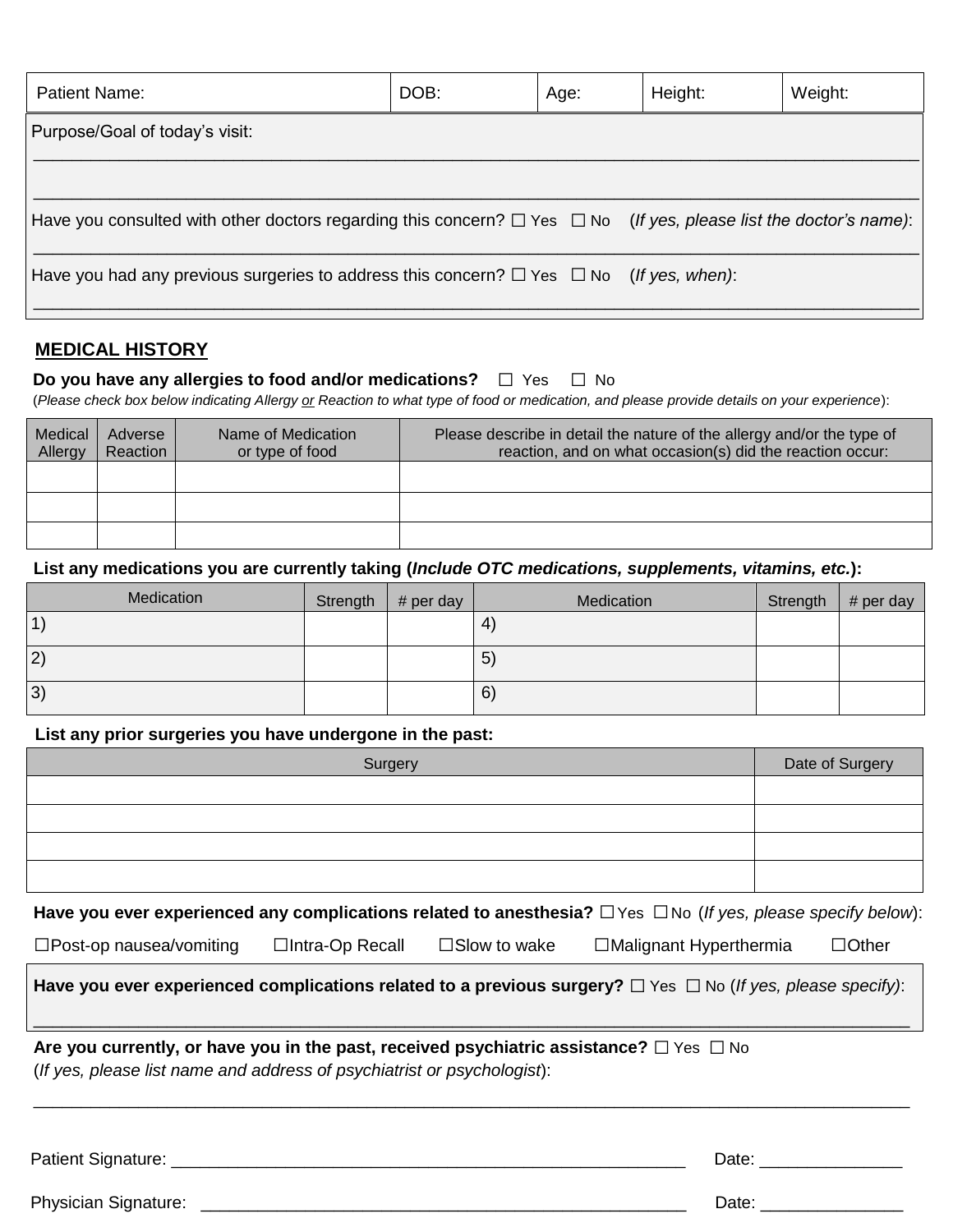| Patient Name:                                                                                                               | DOB: | Age: | Height: | Weight: |
|-----------------------------------------------------------------------------------------------------------------------------|------|------|---------|---------|
| Purpose/Goal of today's visit:                                                                                              |      |      |         |         |
|                                                                                                                             |      |      |         |         |
| Have you consulted with other doctors regarding this concern? $\Box$ Yes $\Box$ No (If yes, please list the doctor's name): |      |      |         |         |
| Have you had any previous surgeries to address this concern? $\Box$ Yes $\Box$ No (If yes, when):                           |      |      |         |         |

#### **MEDICAL HISTORY**

#### **Do you have any allergies to food and/or medications?** □ Yes □ No

(*Please check box below indicating Allergy or Reaction to what type of food or medication, and please provide details on your experience*):

| Medical<br>Allergy | Adverse<br>Reaction | Name of Medication<br>or type of food | Please describe in detail the nature of the allergy and/or the type of<br>reaction, and on what occasion(s) did the reaction occur: |
|--------------------|---------------------|---------------------------------------|-------------------------------------------------------------------------------------------------------------------------------------|
|                    |                     |                                       |                                                                                                                                     |
|                    |                     |                                       |                                                                                                                                     |
|                    |                     |                                       |                                                                                                                                     |

#### **List any medications you are currently taking (***Include OTC medications, supplements, vitamins, etc.***):**

| Medication | Strength | # per day | Medication        | Strength | # per day |
|------------|----------|-----------|-------------------|----------|-----------|
| $\vert$ 1) |          |           | $\left( 4\right)$ |          |           |
| $\vert 2)$ |          |           | 5)                |          |           |
| 3)         |          |           | 6)                |          |           |

#### **List any prior surgeries you have undergone in the past:**

| Surgery | Date of Surgery |
|---------|-----------------|
|         |                 |
|         |                 |
|         |                 |
|         |                 |

Have you ever experienced any complications related to anesthesia? □ Yes □No (If yes, please specify below):

□Post-op nausea/vomiting □Intra-Op Recall □Slow to wake □Malignant Hyperthermia □Other

**Have you ever experienced complications related to a previous surgery?** □ Yes □ No (*If yes, please specify)*:

 $\overline{\phantom{a}}$  , and the set of the set of the set of the set of the set of the set of the set of the set of the set of the set of the set of the set of the set of the set of the set of the set of the set of the set of the s

 $\overline{\phantom{a}}$  , and the contribution of the contribution of the contribution of the contribution of the contribution of the contribution of the contribution of the contribution of the contribution of the contribution of the

**Are you currently, or have you in the past, received psychiatric assistance?** □ Yes □ No (*If yes, please list name and address of psychiatrist or psychologist*):

| Patient Signature:          | Date: |
|-----------------------------|-------|
| <b>Physician Signature:</b> | Date: |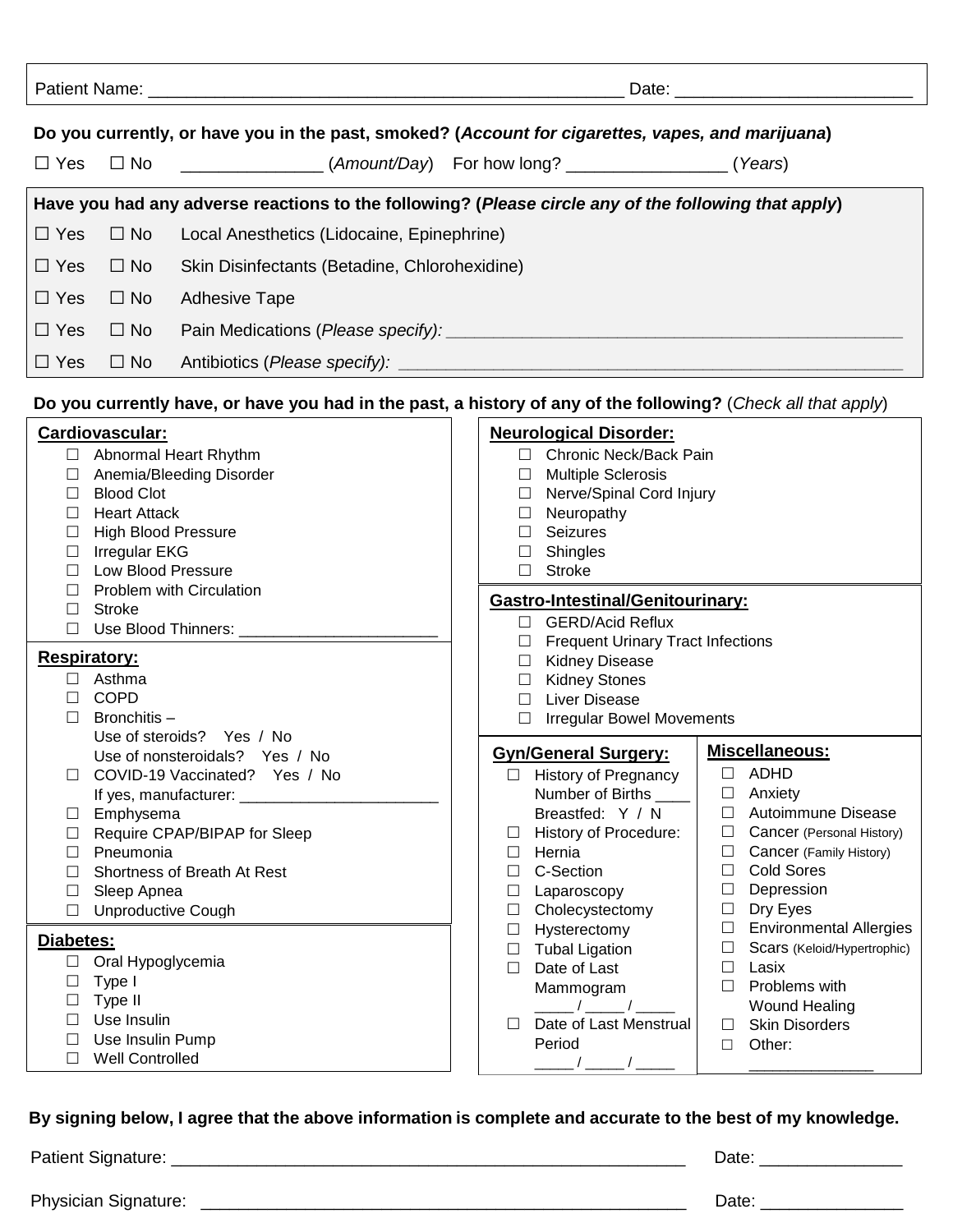|            | Do you currently, or have you in the past, smoked? (Account for cigarettes, vapes, and marijuana) |                                                                                                                                                                                                                                |  |  |  |  |
|------------|---------------------------------------------------------------------------------------------------|--------------------------------------------------------------------------------------------------------------------------------------------------------------------------------------------------------------------------------|--|--|--|--|
|            |                                                                                                   | $\Box$ Yes $\Box$ No ______________(Amount/Day) For how long? ______________(Years)                                                                                                                                            |  |  |  |  |
|            |                                                                                                   | Have you had any adverse reactions to the following? (Please circle any of the following that apply)                                                                                                                           |  |  |  |  |
| $\Box$ Yes | ⊟ No                                                                                              | Local Anesthetics (Lidocaine, Epinephrine)                                                                                                                                                                                     |  |  |  |  |
| $\Box$ Yes |                                                                                                   | $\Box$ No Skin Disinfectants (Betadine, Chlorohexidine)                                                                                                                                                                        |  |  |  |  |
| $\Box$ Yes | $\Box$ No                                                                                         | <b>Adhesive Tape</b>                                                                                                                                                                                                           |  |  |  |  |
| $\Box$ Yes | $\Box$ No                                                                                         | Pain Medications (Please specify): Notified that the control of the control of the control of the control of the control of the control of the control of the control of the control of the control of the control of the cont |  |  |  |  |
| $\Box$ Yes | $\Box$ No                                                                                         | Antibiotics ( <i>Please specify</i> ): <u>______________________</u>                                                                                                                                                           |  |  |  |  |

#### **Do you currently have, or have you had in the past, a history of any of the following?** (*Check all that apply*)

| ⊔<br>$\Box$<br>$\Box$<br>$\Box$<br>$\Box$ | Cardiovascular:<br>$\Box$ Abnormal Heart Rhythm<br>Anemia/Bleeding Disorder<br><b>Blood Clot</b><br><b>Heart Attack</b><br><b>High Blood Pressure</b><br><b>Irregular EKG</b> | П<br>$\Box$<br>$\Box$<br>П | <b>Neurological Disorder:</b><br>Chronic Neck/Back Pain<br><b>Multiple Sclerosis</b><br>Nerve/Spinal Cord Injury<br>Neuropathy<br><b>Seizures</b><br>Shingles |             |                                |
|-------------------------------------------|-------------------------------------------------------------------------------------------------------------------------------------------------------------------------------|----------------------------|---------------------------------------------------------------------------------------------------------------------------------------------------------------|-------------|--------------------------------|
|                                           | Low Blood Pressure                                                                                                                                                            |                            | <b>Stroke</b>                                                                                                                                                 |             |                                |
| $\Box$<br>$\Box$                          | <b>Problem with Circulation</b><br><b>Stroke</b><br>Use Blood Thinners: _________                                                                                             |                            | <b>Gastro-Intestinal/Genitourinary:</b><br>$\Box$ GERD/Acid Reflux                                                                                            |             |                                |
| $\Box$                                    | <b>Respiratory:</b><br>Asthma                                                                                                                                                 | $\Box$                     | <b>Frequent Urinary Tract Infections</b><br><b>Kidney Disease</b><br><b>Kidney Stones</b>                                                                     |             |                                |
| $\Box$                                    | <b>COPD</b>                                                                                                                                                                   | П                          | <b>Liver Disease</b>                                                                                                                                          |             |                                |
| П                                         | Bronchitis-                                                                                                                                                                   |                            | <b>Irregular Bowel Movements</b>                                                                                                                              |             |                                |
|                                           | Use of steroids? Yes / No                                                                                                                                                     |                            |                                                                                                                                                               |             |                                |
|                                           | Use of nonsteroidals? Yes / No                                                                                                                                                |                            | <b>Gyn/General Surgery:</b>                                                                                                                                   |             | <b>Miscellaneous:</b>          |
| $\Box$                                    | COVID-19 Vaccinated? Yes / No                                                                                                                                                 |                            | <b>History of Pregnancy</b>                                                                                                                                   | $\Box$      | ADHD                           |
|                                           | If yes, manufacturer: _______________                                                                                                                                         |                            | Number of Births                                                                                                                                              | $\Box$<br>П | Anxiety<br>Autoimmune Disease  |
| ⊔                                         | Emphysema                                                                                                                                                                     |                            | Breastfed: Y / N                                                                                                                                              | $\Box$      | Cancer (Personal History)      |
| ⊔<br>$\Box$                               | Require CPAP/BIPAP for Sleep<br>Pneumonia                                                                                                                                     | Ш<br>П                     | History of Procedure:<br>Hernia                                                                                                                               | $\Box$      | Cancer (Family History)        |
|                                           | <b>Shortness of Breath At Rest</b>                                                                                                                                            |                            | C-Section                                                                                                                                                     | $\Box$      | <b>Cold Sores</b>              |
|                                           | Sleep Apnea                                                                                                                                                                   |                            | Laparoscopy                                                                                                                                                   | $\Box$      | Depression                     |
| $\Box$                                    | <b>Unproductive Cough</b>                                                                                                                                                     | □                          | Cholecystectomy                                                                                                                                               | $\Box$      | Dry Eyes                       |
|                                           |                                                                                                                                                                               | $\Box$                     | Hysterectomy                                                                                                                                                  | $\Box$      | <b>Environmental Allergies</b> |
| <b>Diabetes:</b>                          |                                                                                                                                                                               | $\Box$                     | <b>Tubal Ligation</b>                                                                                                                                         | $\Box$      | Scars (Keloid/Hypertrophic)    |
| $\Box$                                    | Oral Hypoglycemia                                                                                                                                                             | П                          | Date of Last                                                                                                                                                  | $\Box$      | Lasix                          |
| ப                                         | Type I                                                                                                                                                                        |                            | Mammogram                                                                                                                                                     | П           | Problems with                  |
| ⊔                                         | Type II                                                                                                                                                                       |                            |                                                                                                                                                               |             | Wound Healing                  |
| $\Box$                                    | Use Insulin                                                                                                                                                                   | $\Box$                     | Date of Last Menstrual                                                                                                                                        | $\Box$      | <b>Skin Disorders</b>          |
| П                                         | Use Insulin Pump<br><b>Well Controlled</b>                                                                                                                                    |                            | Period                                                                                                                                                        | $\Box$      | Other:                         |
|                                           |                                                                                                                                                                               |                            |                                                                                                                                                               |             |                                |

**By signing below, I agree that the above information is complete and accurate to the best of my knowledge.**

Patient Signature: \_\_\_\_\_\_\_\_\_\_\_\_\_\_\_\_\_\_\_\_\_\_\_\_\_\_\_\_\_\_\_\_\_\_\_\_\_\_\_\_\_\_\_\_\_\_\_\_\_\_\_\_\_\_ Date: \_\_\_\_\_\_\_\_\_\_\_\_\_\_\_

Physician Signature: \_\_\_\_\_\_\_\_\_\_\_\_\_\_\_\_\_\_\_\_\_\_\_\_\_\_\_\_\_\_\_\_\_\_\_\_\_\_\_\_\_\_\_\_\_\_\_\_\_\_\_ Date: \_\_\_\_\_\_\_\_\_\_\_\_\_\_\_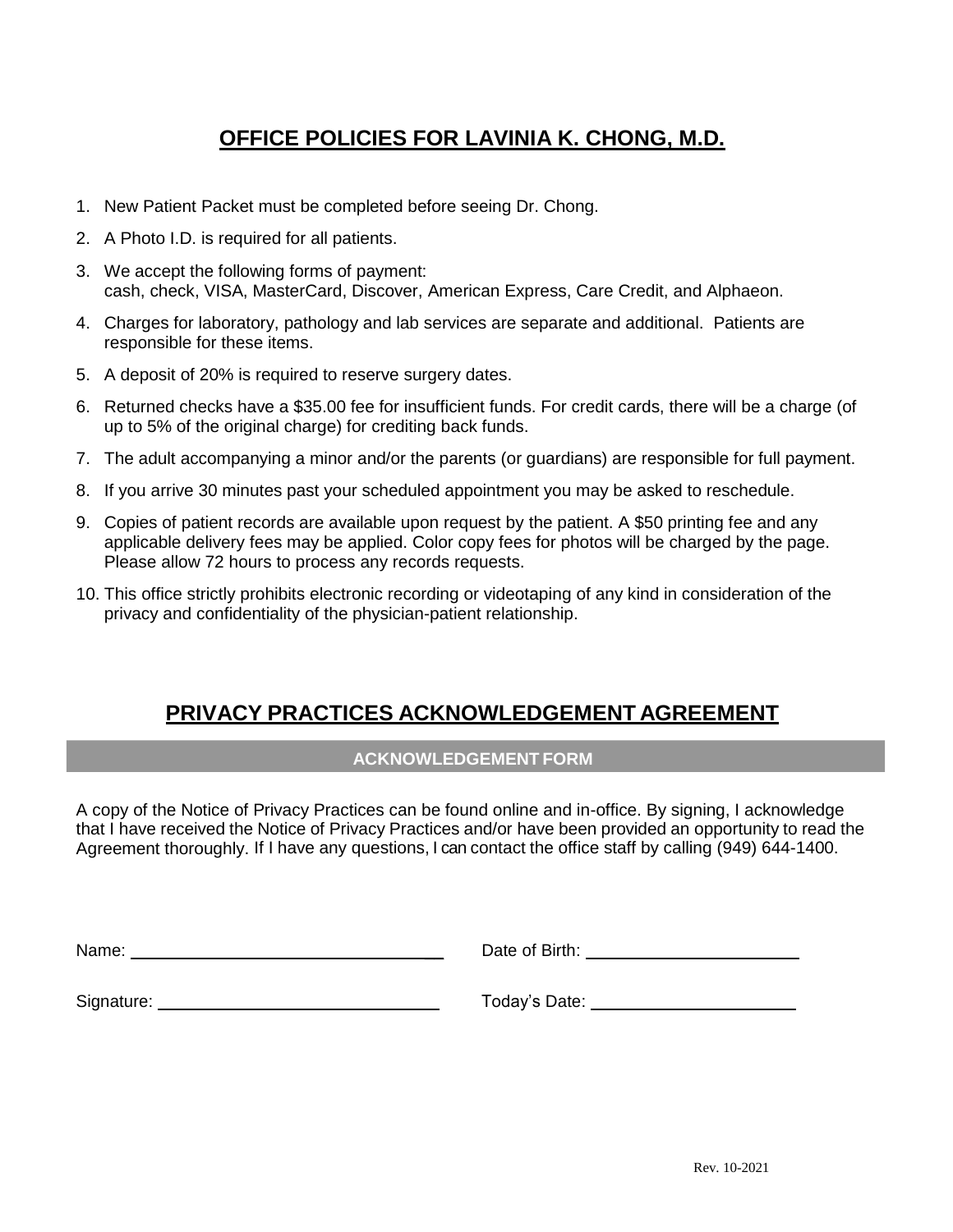# **OFFICE POLICIES FOR LAVINIA K. CHONG, M.D.**

- 1. New Patient Packet must be completed before seeing Dr. Chong.
- 2. A Photo I.D. is required for all patients.
- 3. We accept the following forms of payment: cash, check, VISA, MasterCard, Discover, American Express, Care Credit, and Alphaeon.
- 4. Charges for laboratory, pathology and lab services are separate and additional. Patients are responsible for these items.
- 5. A deposit of 20% is required to reserve surgery dates.
- 6. Returned checks have a \$35.00 fee for insufficient funds. For credit cards, there will be a charge (of up to 5% of the original charge) for crediting back funds.
- 7. The adult accompanying a minor and/or the parents (or guardians) are responsible for full payment.
- 8. If you arrive 30 minutes past your scheduled appointment you may be asked to reschedule.
- 9. Copies of patient records are available upon request by the patient. A \$50 printing fee and any applicable delivery fees may be applied. Color copy fees for photos will be charged by the page. Please allow 72 hours to process any records requests.
- 10. This office strictly prohibits electronic recording or videotaping of any kind in consideration of the privacy and confidentiality of the physician-patient relationship.

# **PRIVACY PRACTICES ACKNOWLEDGEMENT AGREEMENT**

#### **ACKNOWLEDGEMENT FORM**

A copy of the Notice of Privacy Practices can be found online and in-office. By signing, I acknowledge that I have received the Notice of Privacy Practices and/or have been provided an opportunity to read the Agreement thoroughly. If I have any questions, I can contact the office staff by calling (949) 644-1400.

| Name: | Date of Birth: |  |
|-------|----------------|--|
|       |                |  |

Signature: <u>Constantine and Constantine and Constantine and Today's Date:</u>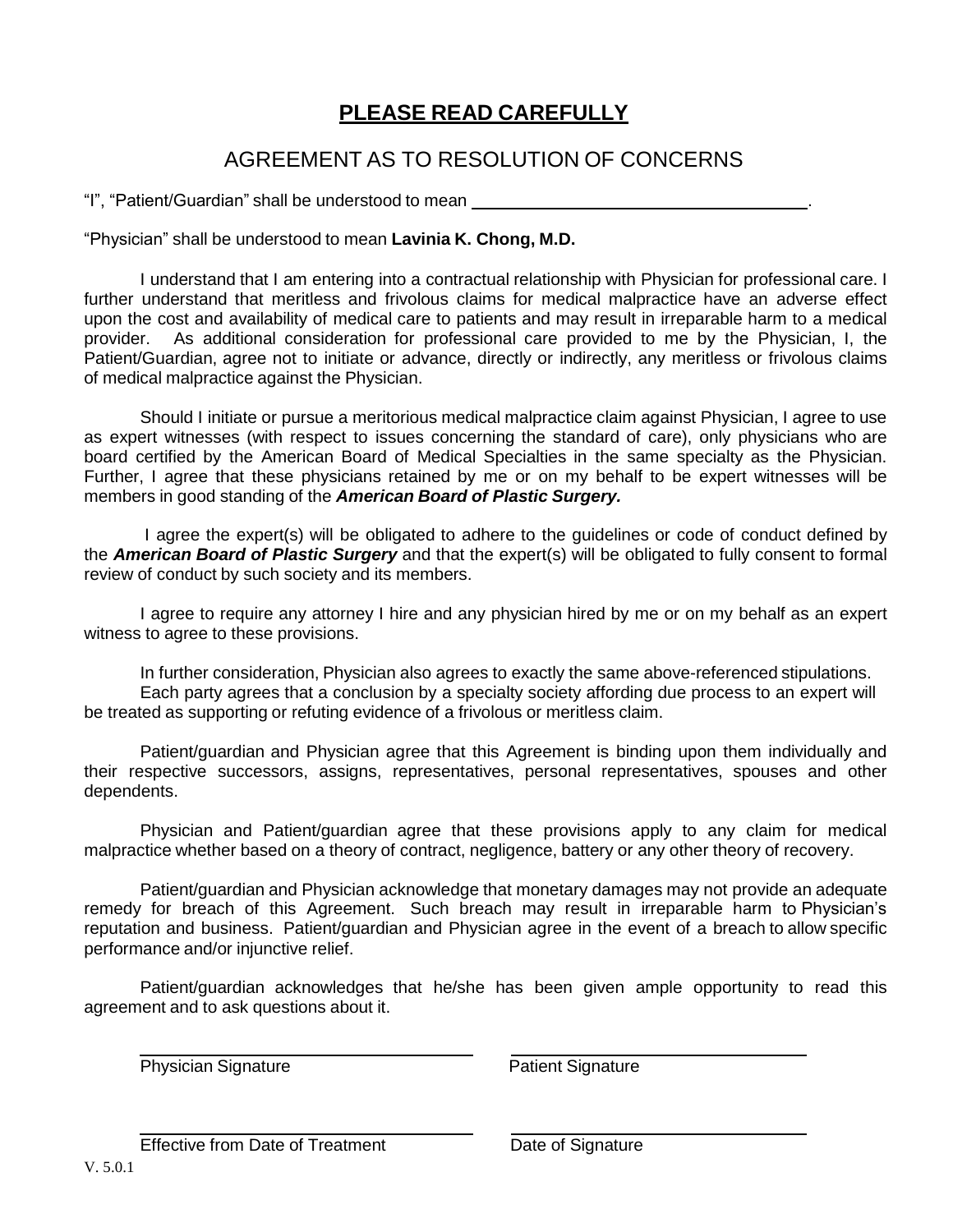# **PLEASE READ CAREFULLY**

# AGREEMENT AS TO RESOLUTION OF CONCERNS

"I", "Patient/Guardian" shall be understood to mean \_\_\_\_

"Physician" shall be understood to mean **Lavinia K. Chong, M.D.**

I understand that I am entering into a contractual relationship with Physician for professional care. I further understand that meritless and frivolous claims for medical malpractice have an adverse effect upon the cost and availability of medical care to patients and may result in irreparable harm to a medical provider. As additional consideration for professional care provided to me by the Physician, I, the Patient/Guardian, agree not to initiate or advance, directly or indirectly, any meritless or frivolous claims of medical malpractice against the Physician.

Should I initiate or pursue a meritorious medical malpractice claim against Physician, I agree to use as expert witnesses (with respect to issues concerning the standard of care), only physicians who are board certified by the American Board of Medical Specialties in the same specialty as the Physician. Further, I agree that these physicians retained by me or on my behalf to be expert witnesses will be members in good standing of the *American Board of Plastic Surgery.*

I agree the expert(s) will be obligated to adhere to the guidelines or code of conduct defined by the *American Board of Plastic Surgery* and that the expert(s) will be obligated to fully consent to formal review of conduct by such society and its members.

I agree to require any attorney I hire and any physician hired by me or on my behalf as an expert witness to agree to these provisions.

In further consideration, Physician also agrees to exactly the same above-referenced stipulations. Each party agrees that a conclusion by a specialty society affording due process to an expert will be treated as supporting or refuting evidence of a frivolous or meritless claim.

Patient/guardian and Physician agree that this Agreement is binding upon them individually and their respective successors, assigns, representatives, personal representatives, spouses and other dependents.

Physician and Patient/guardian agree that these provisions apply to any claim for medical malpractice whether based on a theory of contract, negligence, battery or any other theory of recovery.

Patient/guardian and Physician acknowledge that monetary damages may not provide an adequate remedy for breach of this Agreement. Such breach may result in irreparable harm to Physician's reputation and business. Patient/guardian and Physician agree in the event of a breach to allow specific performance and/or injunctive relief.

Patient/guardian acknowledges that he/she has been given ample opportunity to read this agreement and to ask questions about it.

Physician Signature **Physician Signature** Patient Signature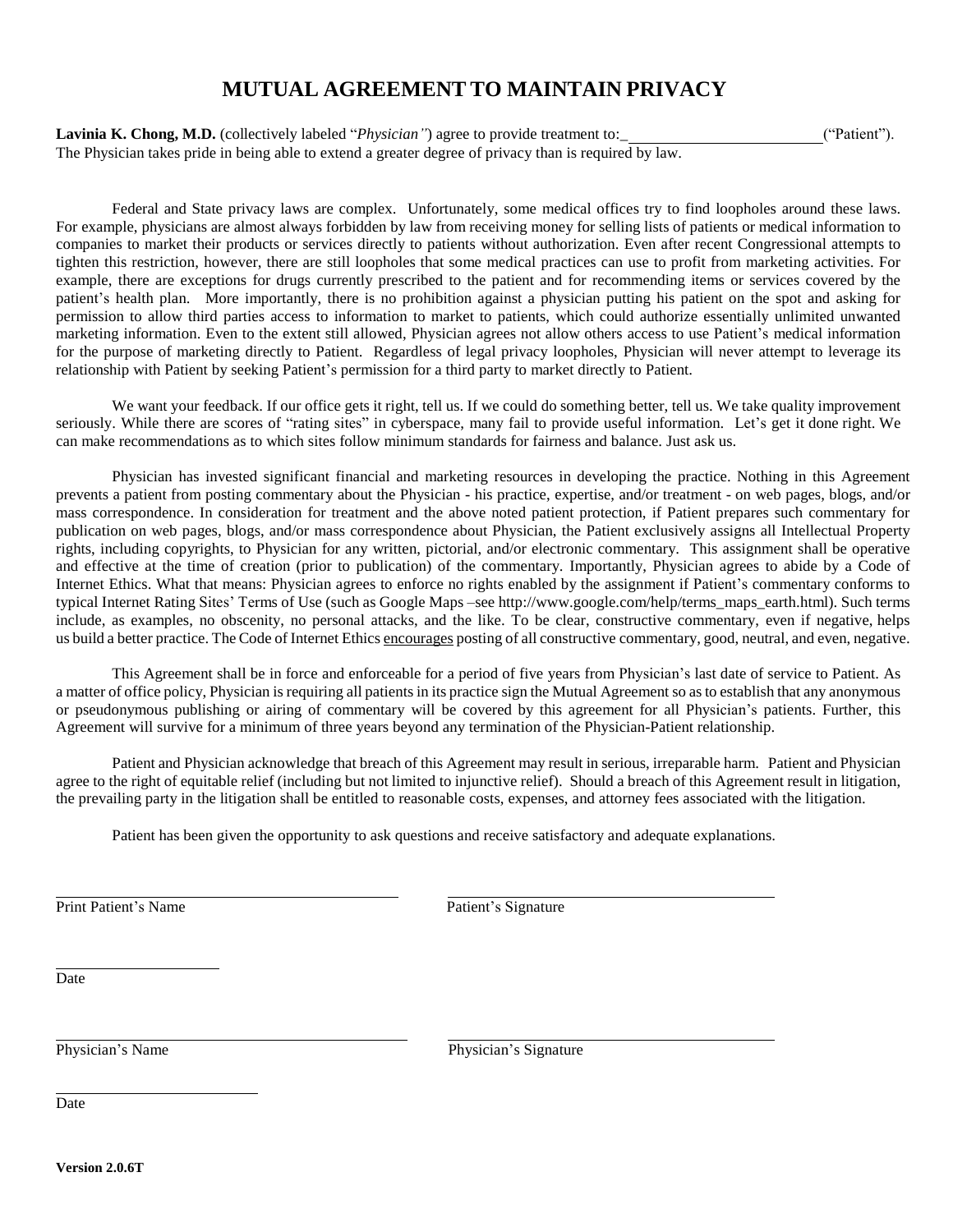### **MUTUAL AGREEMENT TO MAINTAIN PRIVACY**

**Lavinia K. Chong, M.D.** (collectively labeled "*Physician"*) agree to provide treatment to:\_ The Physician takes pride in being able to extend a greater degree of privacy than is required by law. ("Patient").

Federal and State privacy laws are complex. Unfortunately, some medical offices try to find loopholes around these laws. For example, physicians are almost always forbidden by law from receiving money for selling lists of patients or medical information to companies to market their products or services directly to patients without authorization. Even after recent Congressional attempts to tighten this restriction, however, there are still loopholes that some medical practices can use to profit from marketing activities. For example, there are exceptions for drugs currently prescribed to the patient and for recommending items or services covered by the patient's health plan. More importantly, there is no prohibition against a physician putting his patient on the spot and asking for permission to allow third parties access to information to market to patients, which could authorize essentially unlimited unwanted marketing information. Even to the extent still allowed, Physician agrees not allow others access to use Patient's medical information for the purpose of marketing directly to Patient. Regardless of legal privacy loopholes, Physician will never attempt to leverage its relationship with Patient by seeking Patient's permission for a third party to market directly to Patient.

We want your feedback. If our office gets it right, tell us. If we could do something better, tell us. We take quality improvement seriously. While there are scores of "rating sites" in cyberspace, many fail to provide useful information. Let's get it done right. We can make recommendations as to which sites follow minimum standards for fairness and balance. Just ask us.

Physician has invested significant financial and marketing resources in developing the practice. Nothing in this Agreement prevents a patient from posting commentary about the Physician - his practice, expertise, and/or treatment - on web pages, blogs, and/or mass correspondence. In consideration for treatment and the above noted patient protection, if Patient prepares such commentary for publication on web pages, blogs, and/or mass correspondence about Physician, the Patient exclusively assigns all Intellectual Property rights, including copyrights, to Physician for any written, pictorial, and/or electronic commentary. This assignment shall be operative and effective at the time of creation (prior to publication) of the commentary. Importantly, Physician agrees to abide by a Code of Internet Ethics. What that means: Physician agrees to enforce no rights enabled by the assignment if Patient's commentary conforms to typical Internet Rating Sites' Terms of Use (such as Google Maps –se[e http://www.google.com/help/terms\\_maps\\_earth.html\). S](http://www.google.com/help/terms_maps_earth.html))uch terms include, as examples, no obscenity, no personal attacks, and the like. To be clear, constructive commentary, even if negative, helps us build a better practice. The Code of Internet Ethics encourages posting of all constructive commentary, good, neutral, and even, negative.

This Agreement shall be in force and enforceable for a period of five years from Physician's last date of service to Patient. As a matter of office policy, Physician is requiring all patients in its practice sign the Mutual Agreement so as to establish that any anonymous or pseudonymous publishing or airing of commentary will be covered by this agreement for all Physician's patients. Further, this Agreement will survive for a minimum of three years beyond any termination of the Physician-Patient relationship.

Patient and Physician acknowledge that breach of this Agreement may result in serious, irreparable harm. Patient and Physician agree to the right of equitable relief (including but not limited to injunctive relief). Should a breach of this Agreement result in litigation, the prevailing party in the litigation shall be entitled to reasonable costs, expenses, and attorney fees associated with the litigation.

Patient has been given the opportunity to ask questions and receive satisfactory and adequate explanations.

Print Patient's Name Patient's Signature

Date

Physician's Name Physician's Signature

Date